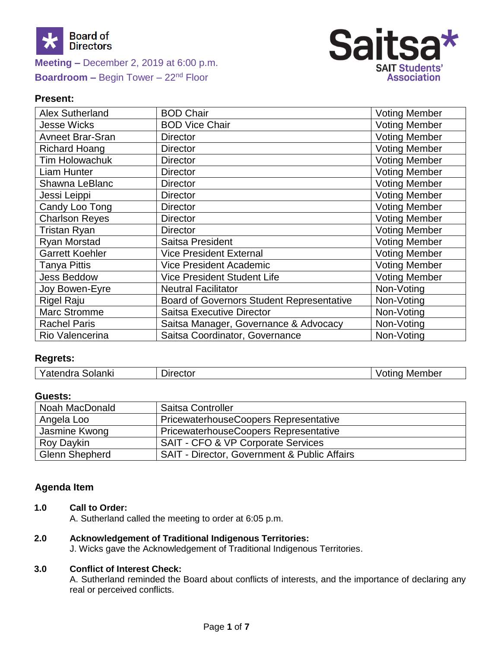



## **Present:**

| <b>Alex Sutherland</b>  | <b>BOD Chair</b>                                 | <b>Voting Member</b> |
|-------------------------|--------------------------------------------------|----------------------|
| Jesse Wicks             | <b>BOD Vice Chair</b>                            | <b>Voting Member</b> |
| <b>Avneet Brar-Sran</b> | <b>Director</b>                                  | <b>Voting Member</b> |
| <b>Richard Hoang</b>    | <b>Director</b>                                  | <b>Voting Member</b> |
| Tim Holowachuk          | <b>Director</b>                                  | <b>Voting Member</b> |
| <b>Liam Hunter</b>      | <b>Director</b>                                  | <b>Voting Member</b> |
| Shawna LeBlanc          | <b>Director</b>                                  | <b>Voting Member</b> |
| Jessi Leippi            | <b>Director</b>                                  | <b>Voting Member</b> |
| Candy Loo Tong          | <b>Director</b>                                  | <b>Voting Member</b> |
| <b>Charlson Reyes</b>   | <b>Director</b>                                  | <b>Voting Member</b> |
| <b>Tristan Ryan</b>     | <b>Director</b>                                  | <b>Voting Member</b> |
| <b>Ryan Morstad</b>     | Saitsa President                                 | <b>Voting Member</b> |
| <b>Garrett Koehler</b>  | <b>Vice President External</b>                   | <b>Voting Member</b> |
| <b>Tanya Pittis</b>     | <b>Vice President Academic</b>                   | <b>Voting Member</b> |
| <b>Jess Beddow</b>      | <b>Vice President Student Life</b>               | <b>Voting Member</b> |
| Joy Bowen-Eyre          | <b>Neutral Facilitator</b>                       | Non-Voting           |
| <b>Rigel Raju</b>       | <b>Board of Governors Student Representative</b> | Non-Voting           |
| <b>Marc Stromme</b>     | <b>Saitsa Executive Director</b>                 | Non-Voting           |
| <b>Rachel Paris</b>     | Saitsa Manager, Governance & Advocacy            | Non-Voting           |
| Rio Valencerina         | Saitsa Coordinator, Governance                   | Non-Voting           |

## **Regrets:**

#### **Guests:**

| Noah MacDonald        | Saitsa Controller                                       |
|-----------------------|---------------------------------------------------------|
| Angela Loo            | PricewaterhouseCoopers Representative                   |
| Jasmine Kwong         | <b>PricewaterhouseCoopers Representative</b>            |
| Roy Daykin            | <b>SAIT - CFO &amp; VP Corporate Services</b>           |
| <b>Glenn Shepherd</b> | <b>SAIT - Director, Government &amp; Public Affairs</b> |

## **Agenda Item**

**1.0 Call to Order:**

A. Sutherland called the meeting to order at 6:05 p.m.

#### **2.0 Acknowledgement of Traditional Indigenous Territories:**

J. Wicks gave the Acknowledgement of Traditional Indigenous Territories.

## **3.0 Conflict of Interest Check:**

A. Sutherland reminded the Board about conflicts of interests, and the importance of declaring any real or perceived conflicts.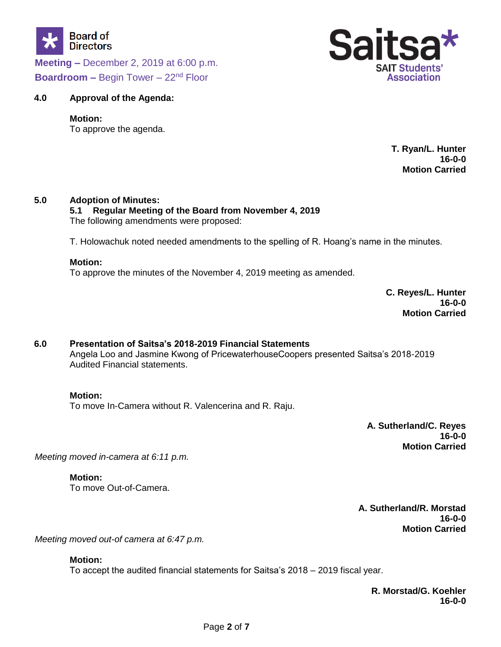



### **4.0 Approval of the Agenda:**

#### **Motion:**

To approve the agenda.

#### **T. Ryan/L. Hunter 16-0-0 Motion Carried**

#### **5.0 Adoption of Minutes:**

#### **5.1 Regular Meeting of the Board from November 4, 2019** The following amendments were proposed:

T. Holowachuk noted needed amendments to the spelling of R. Hoang's name in the minutes.

#### **Motion:**

To approve the minutes of the November 4, 2019 meeting as amended.

**C. Reyes/L. Hunter 16-0-0 Motion Carried**

## **6.0 Presentation of Saitsa's 2018-2019 Financial Statements** Angela Loo and Jasmine Kwong of PricewaterhouseCoopers presented Saitsa's 2018-2019 Audited Financial statements.

#### **Motion:**

To move In-Camera without R. Valencerina and R. Raju.

**A. Sutherland/C. Reyes 16-0-0 Motion Carried**

*Meeting moved in-camera at 6:11 p.m.*

**Motion:** To move Out-of-Camera.

> **A. Sutherland/R. Morstad 16-0-0 Motion Carried**

*Meeting moved out-of camera at 6:47 p.m.*

#### **Motion:**

To accept the audited financial statements for Saitsa's 2018 – 2019 fiscal year.

**R. Morstad/G. Koehler 16-0-0**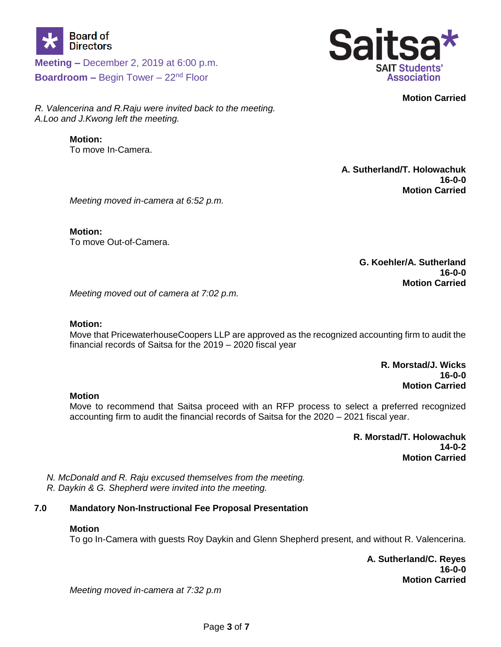



**Motion Carried**

*R. Valencerina and R.Raju were invited back to the meeting. A.Loo and J.Kwong left the meeting.*

# **Motion:**

To move In-Camera.

**A. Sutherland/T. Holowachuk 16-0-0 Motion Carried**

*Meeting moved in-camera at 6:52 p.m.*

**Motion:** To move Out-of-Camera.

> **G. Koehler/A. Sutherland 16-0-0 Motion Carried**

*Meeting moved out of camera at 7:02 p.m.*

## **Motion:**

Move that PricewaterhouseCoopers LLP are approved as the recognized accounting firm to audit the financial records of Saitsa for the 2019 – 2020 fiscal year

> **R. Morstad/J. Wicks 16-0-0 Motion Carried**

## **Motion**

Move to recommend that Saitsa proceed with an RFP process to select a preferred recognized accounting firm to audit the financial records of Saitsa for the 2020 – 2021 fiscal year.

> **R. Morstad/T. Holowachuk 14-0-2 Motion Carried**

*N. McDonald and R. Raju excused themselves from the meeting. R. Daykin & G. Shepherd were invited into the meeting.* 

## **7.0 Mandatory Non-Instructional Fee Proposal Presentation**

## **Motion**

To go In-Camera with guests Roy Daykin and Glenn Shepherd present, and without R. Valencerina.

**A. Sutherland/C. Reyes 16-0-0 Motion Carried**

*Meeting moved in-camera at 7:32 p.m*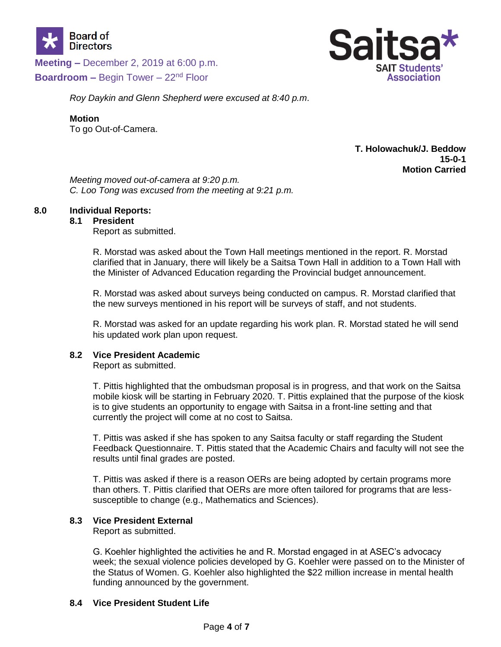



*Roy Daykin and Glenn Shepherd were excused at 8:40 p.m*.

#### **Motion**

To go Out-of-Camera.

## **T. Holowachuk/J. Beddow 15-0-1 Motion Carried**

*Meeting moved out-of-camera at 9:20 p.m. C. Loo Tong was excused from the meeting at 9:21 p.m.*

#### **8.0 Individual Reports:**

#### **8.1 President**

Report as submitted.

R. Morstad was asked about the Town Hall meetings mentioned in the report. R. Morstad clarified that in January, there will likely be a Saitsa Town Hall in addition to a Town Hall with the Minister of Advanced Education regarding the Provincial budget announcement.

R. Morstad was asked about surveys being conducted on campus. R. Morstad clarified that the new surveys mentioned in his report will be surveys of staff, and not students.

R. Morstad was asked for an update regarding his work plan. R. Morstad stated he will send his updated work plan upon request.

## **8.2 Vice President Academic**

Report as submitted.

T. Pittis highlighted that the ombudsman proposal is in progress, and that work on the Saitsa mobile kiosk will be starting in February 2020. T. Pittis explained that the purpose of the kiosk is to give students an opportunity to engage with Saitsa in a front-line setting and that currently the project will come at no cost to Saitsa.

T. Pittis was asked if she has spoken to any Saitsa faculty or staff regarding the Student Feedback Questionnaire. T. Pittis stated that the Academic Chairs and faculty will not see the results until final grades are posted.

T. Pittis was asked if there is a reason OERs are being adopted by certain programs more than others. T. Pittis clarified that OERs are more often tailored for programs that are lesssusceptible to change (e.g., Mathematics and Sciences).

## **8.3 Vice President External**

Report as submitted.

G. Koehler highlighted the activities he and R. Morstad engaged in at ASEC's advocacy week; the sexual violence policies developed by G. Koehler were passed on to the Minister of the Status of Women. G. Koehler also highlighted the \$22 million increase in mental health funding announced by the government.

## **8.4 Vice President Student Life**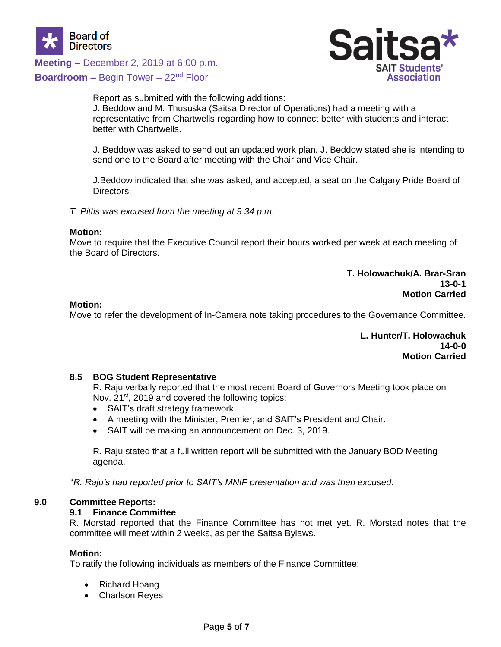

**Meeting –** December 2, 2019 at 6:00 p.m.



**Boardroom –** Begin Tower – 22<sup>nd</sup> Floor

Report as submitted with the following additions: J. Beddow and M. Thususka (Saitsa Director of Operations) had a meeting with a representative from Chartwells regarding how to connect better with students and interact better with Chartwells.

J. Beddow was asked to send out an updated work plan. J. Beddow stated she is intending to send one to the Board after meeting with the Chair and Vice Chair.

J.Beddow indicated that she was asked, and accepted, a seat on the Calgary Pride Board of Directors.

*T. Pittis was excused from the meeting at 9:34 p.m.*

#### **Motion:**

Move to require that the Executive Council report their hours worked per week at each meeting of the Board of Directors.

#### **T. Holowachuk/A. Brar-Sran 13-0-1 Motion Carried**

#### **Motion:**

Move to refer the development of In-Camera note taking procedures to the Governance Committee.

**L. Hunter/T. Holowachuk 14-0-0 Motion Carried**

## **8.5 BOG Student Representative**

R. Raju verbally reported that the most recent Board of Governors Meeting took place on Nov. 21<sup>st</sup>, 2019 and covered the following topics:

- SAIT's draft strategy framework
- A meeting with the Minister, Premier, and SAIT's President and Chair.
- SAIT will be making an announcement on Dec. 3, 2019.

R. Raju stated that a full written report will be submitted with the January BOD Meeting agenda.

*\*R. Raju's had reported prior to SAIT's MNIF presentation and was then excused.*

## **9.0 Committee Reports:**

## **9.1 Finance Committee**

R. Morstad reported that the Finance Committee has not met yet. R. Morstad notes that the committee will meet within 2 weeks, as per the Saitsa Bylaws.

#### **Motion:**

To ratify the following individuals as members of the Finance Committee:

- Richard Hoang
- Charlson Reyes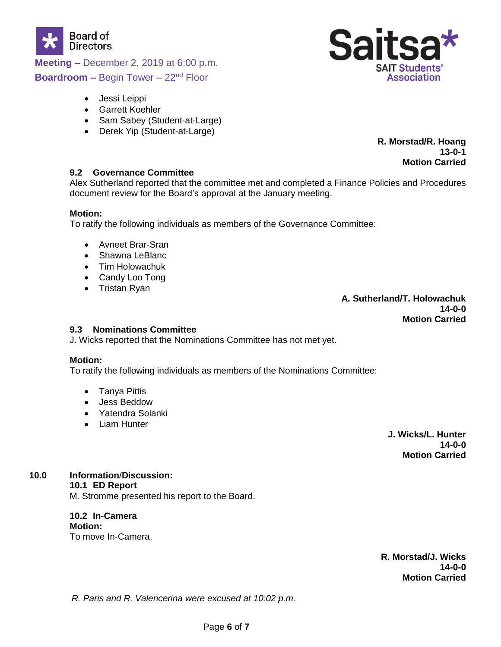



- Jessi Leippi
- Garrett Koehler
- Sam Sabey (Student-at-Large)
- Derek Yip (Student-at-Large)

**R. Morstad/R. Hoang 13-0-1 Motion Carried**

#### **9.2 Governance Committee**

Alex Sutherland reported that the committee met and completed a Finance Policies and Procedures document review for the Board's approval at the January meeting.

#### **Motion:**

To ratify the following individuals as members of the Governance Committee:

- Avneet Brar-Sran
- Shawna LeBlanc
- Tim Holowachuk
- Candy Loo Tong
- Tristan Ryan

#### **A. Sutherland/T. Holowachuk 14-0-0 Motion Carried**

## **9.3 Nominations Committee**

J. Wicks reported that the Nominations Committee has not met yet.

## **Motion:**

To ratify the following individuals as members of the Nominations Committee:

- Tanya Pittis
- Jess Beddow
- Yatendra Solanki
- Liam Hunter

**J. Wicks/L. Hunter 14-0-0 Motion Carried**

**10.0 Information**/**Discussion:**

## **10.1 ED Report**

M. Stromme presented his report to the Board.

# **10.2 In-Camera Motion:**

To move In-Camera.

**R. Morstad/J. Wicks 14-0-0 Motion Carried**

*R. Paris and R. Valencerina were excused at 10:02 p.m.*